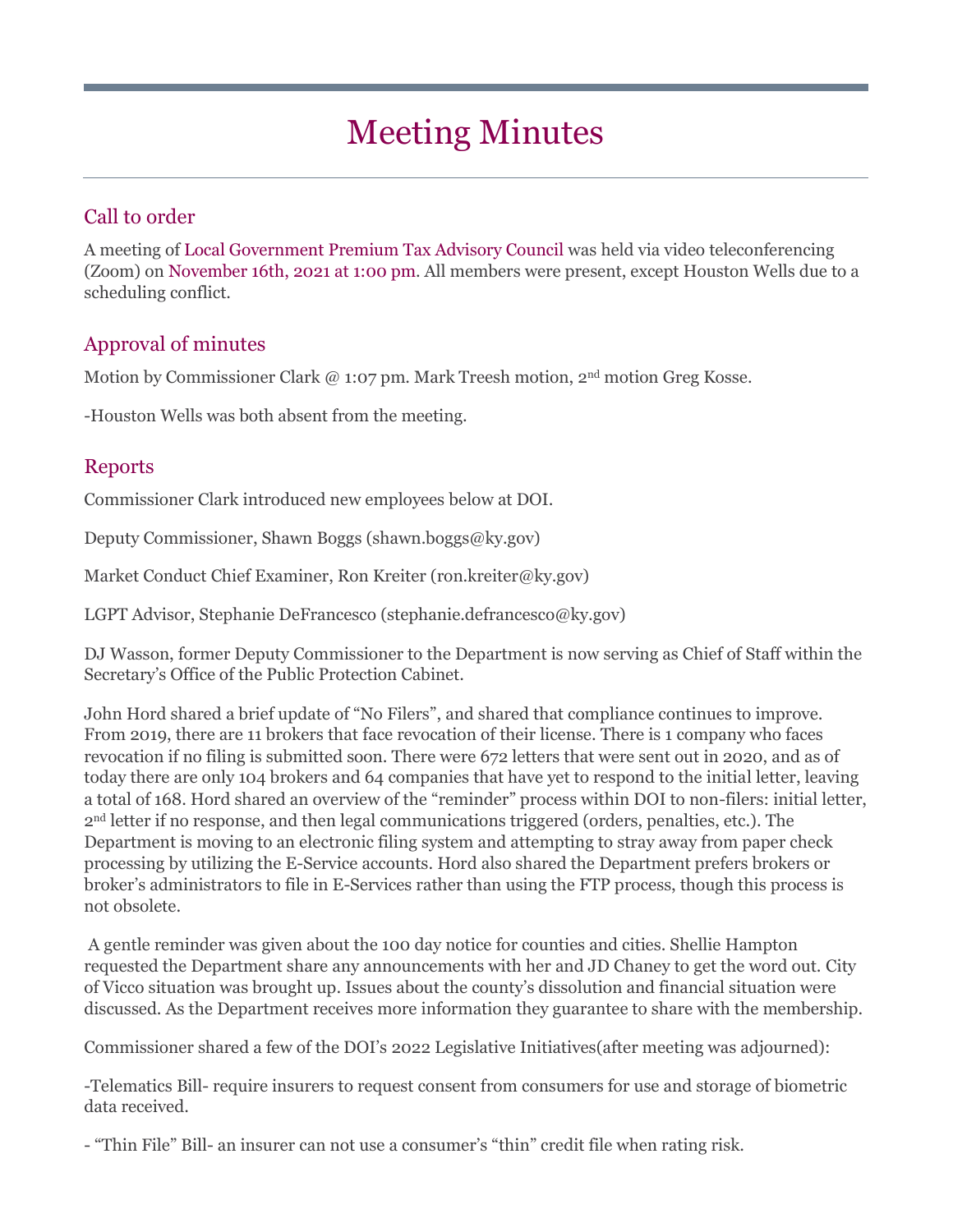# Meeting Minutes

## Call to order

A meeting of Local Government Premium Tax Advisory Council was held via video teleconferencing (Zoom) on November 16th, 2021 at 1:00 pm. All members were present, except Houston Wells due to a scheduling conflict.

### Approval of minutes

Motion by Commissioner Clark @ 1:07 pm. Mark Treesh motion, 2nd motion Greg Kosse.

-Houston Wells was both absent from the meeting.

#### Reports

Commissioner Clark introduced new employees below at DOI.

Deputy Commissioner, Shawn Boggs (shawn.boggs@ky.gov)

Market Conduct Chief Examiner, Ron Kreiter (ron.kreiter@ky.gov)

LGPT Advisor, Stephanie DeFrancesco (stephanie.defrancesco@ky.gov)

DJ Wasson, former Deputy Commissioner to the Department is now serving as Chief of Staff within the Secretary's Office of the Public Protection Cabinet.

John Hord shared a brief update of "No Filers", and shared that compliance continues to improve. From 2019, there are 11 brokers that face revocation of their license. There is 1 company who faces revocation if no filing is submitted soon. There were 672 letters that were sent out in 2020, and as of today there are only 104 brokers and 64 companies that have yet to respond to the initial letter, leaving a total of 168. Hord shared an overview of the "reminder" process within DOI to non-filers: initial letter, 2nd letter if no response, and then legal communications triggered (orders, penalties, etc.). The Department is moving to an electronic filing system and attempting to stray away from paper check processing by utilizing the E-Service accounts. Hord also shared the Department prefers brokers or broker's administrators to file in E-Services rather than using the FTP process, though this process is not obsolete.

A gentle reminder was given about the 100 day notice for counties and cities. Shellie Hampton requested the Department share any announcements with her and JD Chaney to get the word out. City of Vicco situation was brought up. Issues about the county's dissolution and financial situation were discussed. As the Department receives more information they guarantee to share with the membership.

Commissioner shared a few of the DOI's 2022 Legislative Initiatives(after meeting was adjourned):

-Telematics Bill- require insurers to request consent from consumers for use and storage of biometric data received.

- "Thin File" Bill- an insurer can not use a consumer's "thin" credit file when rating risk.